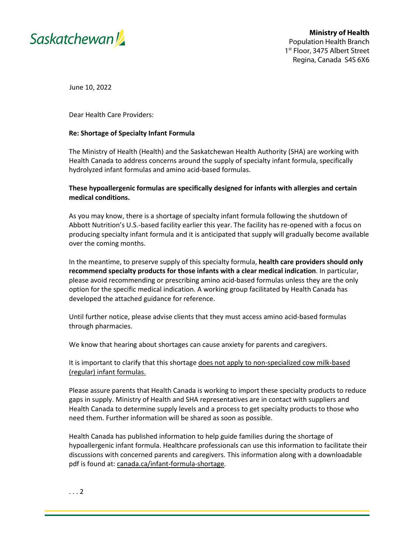

June 10, 2022

Dear Health Care Providers:

## **Re: Shortage of Specialty Infant Formula**

The Ministry of Health (Health) and the Saskatchewan Health Authority (SHA) are working with Health Canada to address concerns around the supply of specialty infant formula, specifically hydrolyzed infant formulas and amino acid-based formulas.

## **These hypoallergenic formulas are specifically designed for infants with allergies and certain medical conditions.**

As you may know, there is a shortage of specialty infant formula following the shutdown of Abbott Nutrition's U.S.-based facility earlier this year. The facility has re-opened with a focus on producing specialty infant formula and it is anticipated that supply will gradually become available over the coming months.

In the meantime, to preserve supply of this specialty formula, **health care providers should only recommend specialty products for those infants with a clear medical indication**. In particular, please avoid recommending or prescribing amino acid-based formulas unless they are the only option for the specific medical indication. A working group facilitated by Health Canada has developed the attached guidance for reference.

Until further notice, please advise clients that they must access amino acid-based formulas through pharmacies.

We know that hearing about shortages can cause anxiety for parents and caregivers.

It is important to clarify that this shortage does not apply to non-specialized cow milk-based (regular) infant formulas.

Please assure parents that Health Canada is working to import these specialty products to reduce gaps in supply. Ministry of Health and SHA representatives are in contact with suppliers and Health Canada to determine supply levels and a process to get specialty products to those who need them. Further information will be shared as soon as possible.

Health Canada has published information to help guide families during the shortage of hypoallergenic infant formula. Healthcare professionals can use this information to facilitate their discussions with concerned parents and caregivers. This information along with a downloadable pdf is found at: [canada.ca/infant-formula-shortage.](https://can01.safelinks.protection.outlook.com/?url=https%3A%2F%2Fwww.canada.ca%2Fen%2Fhealth-canada%2Fservices%2Finfant-care%2Finfant-formula%2Fshortage.html%3Futm_campaign%3Dnot-applicable%26utm_medium%3Dvanity-url%26utm_source%3Dcanada-ca_infant-formula-shortage&data=05%7C01%7Cbns-bsn%40hc-sc.gc.ca%7C7ab4625fcad341a5954108da4a79c056%7C42fd9015de4d4223a368baeacab48927%7C0%7C0%7C637904184389191702%7CUnknown%7CTWFpbGZsb3d8eyJWIjoiMC4wLjAwMDAiLCJQIjoiV2luMzIiLCJBTiI6Ik1haWwiLCJXVCI6Mn0%3D%7C3000%7C%7C%7C&sdata=OPGNa8ceLjbDa73PAxKYEcIa6u9rTvecQYnJy4CFx1M%3D&reserved=0)